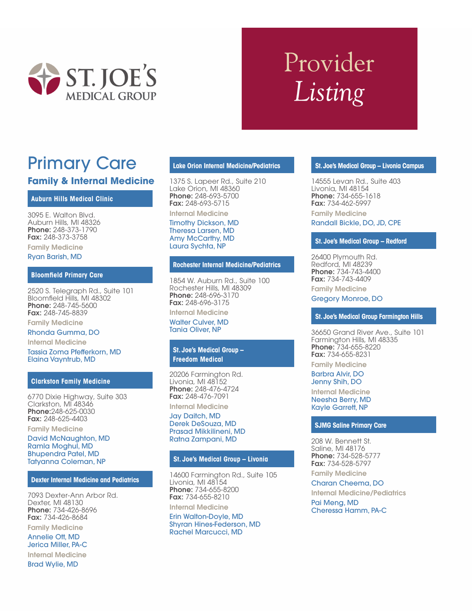

# Provider Listing

## Primary Care

## **Family & Internal Medicine**

## **Auburn Hills Medical Clinic**

3095 E. Walton Blvd. Auburn Hills, MI 48326 Phone: 248-373-1790 Fax: 248-373-3758

Family Medicine Ryan Barish, MD

#### **Bloomfield Primary Care**

2520 S. Telegraph Rd., Suite 101 Bloomfield Hills, MI 48302 Phone: 248-745-5600 Fax: 248-745-8839

Family Medicine

## Rhonda Gumma, DO

Internal Medicine Tassia Zoma Pfefferkorn, MD Elaina Vayntrub, MD

## **Clarkston Family Medicine**

6770 Dixie Highway, Suite 303 Clarkston, MI 48346 Phone:248-625-0030 Fax: 248-625-4403

Family Medicine

David McNaughton, MD Ramla Moghul, MD Bhupendra Patel, MD Tatyanna Coleman, NP

#### **Dexter Internal Medicine and Pediatrics**

7093 Dexter-Ann Arbor Rd. Dexter, MI 48130 Phone: 734-426-8696 Fax: 734-426-8684

Family Medicine

Annelie Ott, MD Jerica Miller, PA-C Internal Medicine

Brad Wylie, MD

## **Lake Orion Internal Medicine/Pediatrics**

1375 S. Lapeer Rd., Suite 210 Lake Orion, MI 48360 Phone: 248-693-5700 Fax: 248-693-5715

Internal Medicine Timothy Dickson, MD Theresa Larsen, MD Amy McCarthy, MD Laura Sychta, NP

#### **Rochester Internal Medicine/Pediatrics**

1854 W. Auburn Rd., Suite 100 Rochester Hills, MI 48309 Phone: 248-696-3170 Fax: 248-696-3175

Internal Medicine

Walter Culver, MD Tania Oliver, NP

## **St. Joe's Medical Group – Freedom Medical**

20206 Farmington Rd. Livonia, MI 48152 Phone: 248-476-4724 Fax: 248-476-7091

Internal Medicine Jay Daitch, MD Derek DeSouza, MD Prasad Mikkilineni, MD Ratna Zampani, MD

## **St. Joe's Medical Group – Livonia**

14600 Farmington Rd., Suite 105 Livonia, MI 48154 Phone: 734-655-8200 Fax: 734-655-8210

Internal Medicine Erin Walton-Doyle, MD Shyran Hines-Federson, MD Rachel Marcucci, MD

## **St. Joe's Medical Group – Livonia Campus**

14555 Levan Rd., Suite 403 Livonia, MI 48154 Phone: 734-655-1618 Fax: 734-462-5997

Family Medicine Randall Bickle, DO, JD, CPE

## **St. Joe's Medical Group – Redford**

26400 Plymouth Rd. Redford, MI 48239 Phone: 734-743-4400 Fax: 734-743-4409

Family Medicine

Gregory Monroe, DO

#### **St. Joe's Medical Group Farmington Hills**

36650 Grand River Ave., Suite 101 Farmington Hills, MI 48335 Phone: 734-655-8220 Fax: 734-655-8231 Family Medicine

Barbra Alvir, DO

Jenny Shih, DO

Internal Medicine Neesha Berry, MD Kayle Garrett, NP

#### **SJMG Saline Primary Care**

208 W. Bennett St. Saline, MI 48176 Phone: 734-528-5777 Fax: 734-528-5797

Family Medicine Charan Cheema, DO

Internal Medicine/Pediatrics Pai Meng, MD Cheressa Hamm, PA-C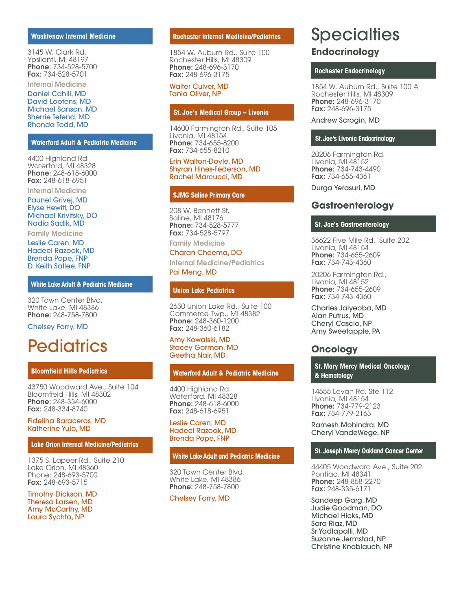### **Washtenaw Internal Medicine**

3145 W. Clark Rd. Ypsilanti, MI 48197 Phone: 734-528-5700 Fax: 734-528-5701 Internal Medicine

Daniel Cahill, MD David Lootens, MD Michael Sanson, MD Sherrie Tefend, MD Rhonda Todd, MD

### **Waterford Adult & Pediatric Medicine**

4400 Highland Rd. Waterford, MI 48328 Phone: 248-618-6000 Fax: 248-618-6951

Internal Medicine

Paunel Grivej, MD Elyse Hewitt, DO Michael Krivitsky, DO Nadia Sadik, MD

Family Medicine

Leslie Caren, MD Hadeel Razook, MD Brenda Pope, FNP D. Keith Sallee, FNP

#### **White Lake Adult & Pediatric Medicine**

320 Town Center Blvd, White Lake, MI 48386 Phone: 248-758-7800

Chelsey Forry, MD

## **Pediatrics**

#### **Bloomfield Hills Pediatrics**

43750 Woodward Ave., Suite 104 Bloomfield Hills, MI 48302 Phone: 248-334-6000 Fax: 248-334-8740

## Fidelina Baraceros, MD Katherine Yulo, MD

## **Lake Orion Internal Medicine/Pediatrics**

1375 S. Lapeer Rd., Suite 210 Lake Orion, MI 48360 Phone: 248-693-5700 Fax: 248-693-5715

Timothy Dickson, MD Theresa Larsen, MD Amy McCarthy, MD Laura Sychta, NP

#### **Rochester Internal Medicine/Pediatrics**

1854 W. Auburn Rd., Suite 100 Rochester Hills, MI 48309 Phone: 248-696-3170 Fax: 248-696-3175

## Walter Culver, MD Tania Oliver, NP

## **St. Joe′s Medical Group – Livonia**

14600 Farmington Rd., Suite 105 Livonia, MI 48154 Phone: 734-655-8200 Fax: 734-655-8210

Erin Walton-Doyle, MD Shyran Hines-Federson, MD Rachel Marcucci, MD

#### **SJMG Saline Primary Care**

208 W. Bennett St. Saline, MI 48176 Phone: 734-528-5777 Fax: 734-528-5797

## Family Medicine

## Charan Cheema, DO

Internal Medicine/Pediatrics Pai Meng, MD

## **Union Lake Pediatrics**

2630 Union Lake Rd., Suite 100 Commerce Twp., MI 48382 Phone: 248-360-1200 Fax: 248-360-6182

#### Amy Kowalski, MD Stacey Gorman, MD Geetha Nair, MD

#### **Waterford Adult & Pediatric Medicine**

4400 Highland Rd. Waterford, MI 48328 Phone: 248-618-6000 Fax: 248-618-6951

## Leslie Caren, MD Hadeel Razook, MD Brenda Pope, FNP

#### **White Lake Adult and Pediatric Medicine**

320 Town Center Blvd, White Lake, MI 48386 Phone: 248-758-7800

#### Chelsey Forry, MD

## **Specialties**

## **Endocrinology**

## **Rochester Endocrinology**

1854 W. Auburn Rd., Suite 100 A Rochester Hills, MI 48309 Phone: 248-696-3170 Fax: 248-696-3175

## Andrew Scrogin, MD

#### **St. Joe's Livonia Endocrinology**

20206 Farmington Rd. Livonia, MI 48152 Phone: 734-743-4490 Fax: 734-655-4361

Durga Yerasuri, MD

## **Gastroenterology**

## **St. Joe's Gastroenterology**

36622 Five Mile Rd., Suite 202 Livonia, MI 48154 Phone: 734-655-2609 Fax: 734-743-4360

20206 Farmington Rd., Livonia, MI 48152 Phone: 734-655-2609 Fax: 734-743-4360

Charles Jaiyeoba, MD Alan Putrus, MD Cheryl Cascio, NP Amy Sweetapple, PA

## **Oncology**

**St. Mary Mercy Medical Oncology & Hematology**

14555 Levan Rd, Ste 112 Livonia, MI 48154 Phone: 734-779-2123 Fax: 734-779-2163

Ramesh Mohindra, MD Cheryl VandeWege, NP

## **St. Joseph Mercy Oakland Cancer Center**

44405 Woodward Ave., Suite 202 Pontiac, MI 48341 Phone: 248-858-2270 Fax: 248-335-6171

Sandeep Garg, MD Judie Goodman, DO Michael Hicks, MD Sara Riaz, MD Sr Yadlapalli, MD Suzanne Jermstad, NP Christine Knoblauch, NP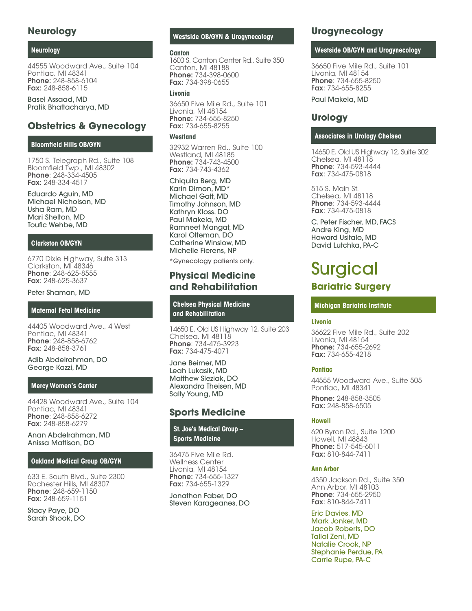## **Neurology**

## **Neurology**

44555 Woodward Ave., Suite 104 Pontiac, MI 48341 Phone: 248-858-6104 Fax: 248-858-6115

Basel Assaad, MD Pratik Bhattacharya, MD

## **Obstetrics & Gynecology**

## **Bloomfield Hills OB/GYN**

1750 S. Telegraph Rd., Suite 108 Bloomfield Twp., MI 48302 Phone: 248-334-4505 Fax: 248-334-4517

Eduardo Aguin, MD Michael Nicholson, MD Usha Ram, MD Mari Shelton, MD Toufic Wehbe, MD

## **Clarkston OB/GYN**

6770 Dixie Highway, Suite 313 Clarkston, MI 48346 Phone: 248-625-8555 Fax: 248-625-3637

## Peter Shaman, MD

## **Maternal Fetal Medicine**

44405 Woodward Ave., 4 West Pontiac, MI 48341 Phone: 248-858-6762 Fax: 248-858-3761

Adib Abdelrahman, DO George Kazzi, MD

## **Mercy Women's Center**

44428 Woodward Ave., Suite 104 Pontiac, MI 48341 Phone: 248-858-6272 Fax: 248-858-6279

Anan Abdelrahman, MD Anissa Mattison, DO

## **Oakland Medical Group OB/GYN**

633 E. South Blvd., Suite 2300 Rochester Hills, MI 48307 Phone: 248-659-1150 Fax: 248-659-1151

Stacy Paye, DO Sarah Shook, DO

## **Westside OB/GYN & Urogynecology**

#### **Canton**

1600 S. Canton Center Rd., Suite 350 Canton, MI 48188 Phone: 734-398-0600 Fax: 734-398-0655

## **Livonia**

36650 Five Mile Rd., Suite 101 Livonia, MI 48154 Phone: 734-655-8250 Fax: 734-655-8255

## **Westland**

32932 Warren Rd., Suite 100 Westland, MI 48185 Phone: 734-743-4500 Fax: 734-743-4362

Chiquita Berg, MD Karin Dimon, MD\* Michael Gatt, MD Timothy Johnson, MD Kathryn Kloss, DO Paul Makela, MD Ramneet Mangat, MD Karol Otteman, DO Catherine Winslow, MD Michelle Fierens, NP

\*Gynecology patients only.

## **Physical Medicine and Rehabilitation**

**Chelsea Physical Medicine and Rehabilitation**

14650 E. Old US Highway 12, Suite 203 Chelsea, MI 48118 Phone: 734-475-3923 Fax: 734-475-4071

Jane Beimer, MD Leah Lukasik, MD Matthew Sleziak, DO Alexandra Theisen, MD Sally Young, MD

## **Sports Medicine**

**St. Joe′s Medical Group – Sports Medicine**

36475 Five Mile Rd. Wellness Center Livonia, MI 48154 Phone: 734-655-1327 Fax: 734-655-1329

Jonathon Faber, DO Steven Karageanes, DO

## **Urogynecology**

## **Westside OB/GYN and Urogynecology**

36650 Five Mile Rd., Suite 101 Livonia, MI 48154 Phone: 734-655-8250 Fax: 734-655-8255

Paul Makela, MD

## **Urology**

## **Associates in Urology Chelsea**

14650 E. Old US Highway 12, Suite 302 Chelsea, MI 48118 Phone: 734-593-4444 Fax: 734-475-0818

515 S. Main St. Chelsea, MI 48118 Phone: 734-593-4444 Fax: 734-475-0818

C. Peter Fischer, MD, FACS Andre King, MD Howard Usitalo, MD David Lutchka, PA-C

## **Surgical**

## **Bariatric Surgery**

## **Michigan Bariatric Institute**

## **Livonia**

36622 Five Mile Rd., Suite 202 Livonia, MI 48154 Phone: 734-655-2692 Fax: 734-655-4218

## **Pontiac**

44555 Woodward Ave., Suite 505 Pontiac, MI 48341 Phone: 248-858-3505

Fax: 248-858-6505

## **Howell**

620 Byron Rd., Suite 1200 Howell, MI 48843 Phone: 517-545-6011 Fax: 810-844-7411

## **Ann Arbor**

4350 Jackson Rd., Suite 350 Ann Arbor, MI 48103 Phone: 734-655-2950 Fax: 810-844-7411

Eric Davies, MD Mark Jonker, MD Jacob Roberts, DO Tallal Zeni, MD Natalie Crook, NP Stephanie Perdue, PA Carrie Rupe, PA-C